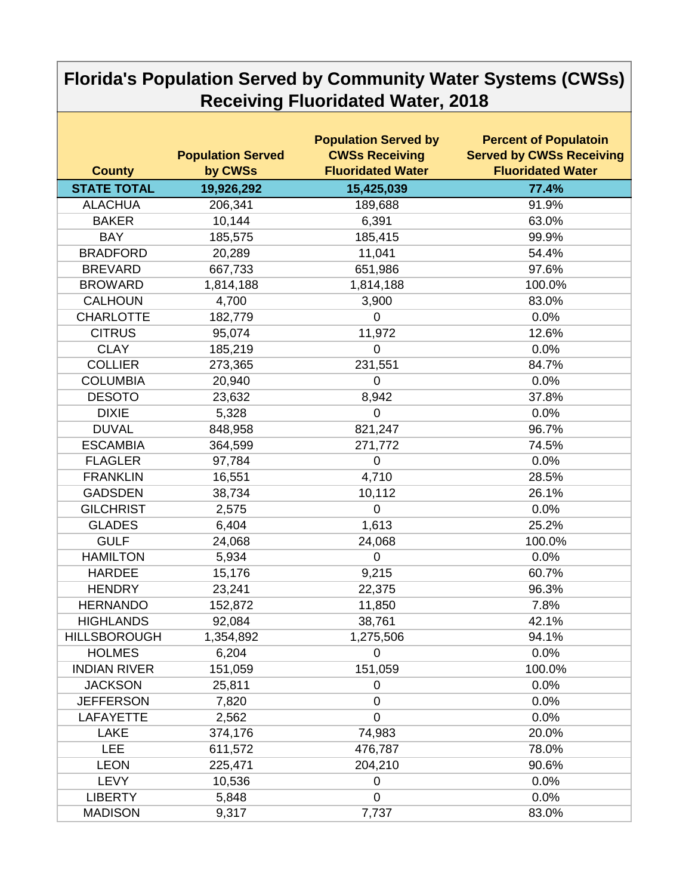## **Florida's Population Served by Community Water Systems (CWSs) Receiving Fluoridated Water, 2018**

| <b>County</b>       | <b>Population Served</b><br>by CWSs | <b>Population Served by</b><br><b>CWSs Receiving</b><br><b>Fluoridated Water</b> | <b>Percent of Populatoin</b><br><b>Served by CWSs Receiving</b><br><b>Fluoridated Water</b> |
|---------------------|-------------------------------------|----------------------------------------------------------------------------------|---------------------------------------------------------------------------------------------|
| <b>STATE TOTAL</b>  | 19,926,292                          | 15,425,039                                                                       | 77.4%                                                                                       |
| <b>ALACHUA</b>      | 206,341                             | 189,688                                                                          | 91.9%                                                                                       |
| <b>BAKER</b>        | 10,144                              | 6,391                                                                            | 63.0%                                                                                       |
| <b>BAY</b>          | 185,575                             | 185,415                                                                          | 99.9%                                                                                       |
| <b>BRADFORD</b>     | 20,289                              | 11,041                                                                           | 54.4%                                                                                       |
| <b>BREVARD</b>      | 667,733                             | 651,986                                                                          | 97.6%                                                                                       |
| <b>BROWARD</b>      | 1,814,188                           | 1,814,188                                                                        | 100.0%                                                                                      |
| <b>CALHOUN</b>      | 4,700                               | 3,900                                                                            | 83.0%                                                                                       |
| <b>CHARLOTTE</b>    | 182,779                             | $\overline{0}$                                                                   | 0.0%                                                                                        |
| <b>CITRUS</b>       | 95,074                              | 11,972                                                                           | 12.6%                                                                                       |
| <b>CLAY</b>         | 185,219                             | $\overline{0}$                                                                   | 0.0%                                                                                        |
| <b>COLLIER</b>      | 273,365                             | 231,551                                                                          | 84.7%                                                                                       |
| <b>COLUMBIA</b>     | 20,940                              | $\overline{0}$                                                                   | 0.0%                                                                                        |
| <b>DESOTO</b>       | 23,632                              | 8,942                                                                            | 37.8%                                                                                       |
| <b>DIXIE</b>        | 5,328                               | $\mathbf 0$                                                                      | 0.0%                                                                                        |
| <b>DUVAL</b>        | 848,958                             | 821,247                                                                          | 96.7%                                                                                       |
| <b>ESCAMBIA</b>     | 364,599                             | 271,772                                                                          | 74.5%                                                                                       |
| <b>FLAGLER</b>      | 97,784                              | $\mathbf 0$                                                                      | 0.0%                                                                                        |
| <b>FRANKLIN</b>     | 16,551                              | 4,710                                                                            | 28.5%                                                                                       |
| <b>GADSDEN</b>      | 38,734                              | 10,112                                                                           | 26.1%                                                                                       |
| <b>GILCHRIST</b>    | 2,575                               | $\mathbf 0$                                                                      | 0.0%                                                                                        |
| <b>GLADES</b>       | 6,404                               | 1,613                                                                            | 25.2%                                                                                       |
| <b>GULF</b>         | 24,068                              | 24,068                                                                           | 100.0%                                                                                      |
| <b>HAMILTON</b>     | 5,934                               | $\mathbf 0$                                                                      | 0.0%                                                                                        |
| <b>HARDEE</b>       | 15,176                              | 9,215                                                                            | 60.7%                                                                                       |
| <b>HENDRY</b>       | 23,241                              | 22,375                                                                           | 96.3%                                                                                       |
| <b>HERNANDO</b>     | 152,872                             | 11,850                                                                           | 7.8%                                                                                        |
| <b>HIGHLANDS</b>    | 92,084                              | 38,761                                                                           | 42.1%                                                                                       |
| <b>HILLSBOROUGH</b> | 1,354,892                           | 1,275,506                                                                        | 94.1%                                                                                       |
| <b>HOLMES</b>       | 6,204                               | $\overline{0}$                                                                   | 0.0%                                                                                        |
| <b>INDIAN RIVER</b> | 151,059                             | 151,059                                                                          | 100.0%                                                                                      |
| <b>JACKSON</b>      | 25,811                              | 0                                                                                | 0.0%                                                                                        |
| <b>JEFFERSON</b>    | 7,820                               | $\overline{0}$                                                                   | 0.0%                                                                                        |
| <b>LAFAYETTE</b>    | 2,562                               | $\overline{0}$                                                                   | 0.0%                                                                                        |
| <b>LAKE</b>         | 374,176                             | 74,983                                                                           | 20.0%                                                                                       |
| <b>LEE</b>          | 611,572                             | 476,787                                                                          | 78.0%                                                                                       |
| <b>LEON</b>         | 225,471                             | 204,210                                                                          | 90.6%                                                                                       |
| <b>LEVY</b>         | 10,536                              | $\overline{0}$                                                                   | 0.0%                                                                                        |
| <b>LIBERTY</b>      | 5,848                               | $\mathbf 0$                                                                      | 0.0%                                                                                        |
| <b>MADISON</b>      | 9,317                               | 7,737                                                                            | 83.0%                                                                                       |